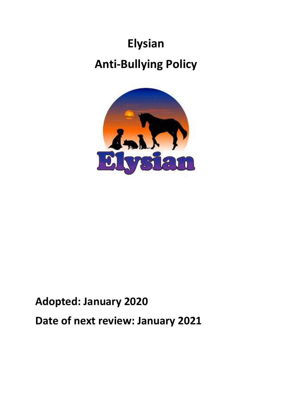# **Elysian Anti-Bullying Policy**



# **Adopted: January 2020 Date of next review: January 2021**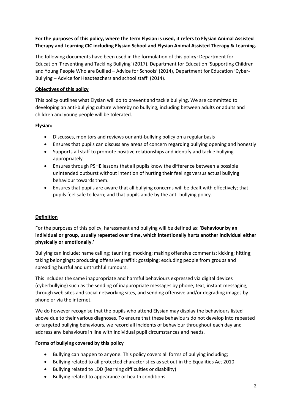# **For the purposes of this policy, where the term Elysian is used, it refers to Elysian Animal Assisted Therapy and Learning CIC including Elysian School and Elysian Animal Assisted Therapy & Learning.**

The following documents have been used in the formulation of this policy: Department for Education 'Preventing and Tackling Bullying' (2017), Department for Education 'Supporting Children and Young People Who are Bullied – Advice for Schools' (2014), Department for Education 'Cyber-Bullying – Advice for Headteachers and school staff' (2014).

# **Objectives of this policy**

This policy outlines what Elysian will do to prevent and tackle bullying. We are committed to developing an anti-bullying culture whereby no bullying, including between adults or adults and children and young people will be tolerated.

# **Elysian:**

- Discusses, monitors and reviews our anti-bullying policy on a regular basis
- Ensures that pupils can discuss any areas of concern regarding bullying opening and honestly
- Supports all staff to promote positive relationships and identify and tackle bullying appropriately
- Ensures through PSHE lessons that all pupils know the difference between a possible unintended outburst without intention of hurting their feelings versus actual bullying behaviour towards them.
- Ensures that pupils are aware that all bullying concerns will be dealt with effectively; that pupils feel safe to learn; and that pupils abide by the anti-bullying policy.

# **Definition**

For the purposes of this policy, harassment and bullying will be defined as: '**Behaviour by an individual or group, usually repeated over time, which intentionally hurts another individual either physically or emotionally.'** 

Bullying can include: name calling; taunting; mocking; making offensive comments; kicking; hitting; taking belongings; producing offensive graffiti; gossiping; excluding people from groups and spreading hurtful and untruthful rumours.

This includes the same inappropriate and harmful behaviours expressed via digital devices (cyberbullying) such as the sending of inappropriate messages by phone, text, instant messaging, through web sites and social networking sites, and sending offensive and/or degrading images by phone or via the internet.

We do however recognise that the pupils who attend Elysian may display the behaviours listed above due to their various diagnoses. To ensure that these behaviours do not develop into repeated or targeted bullying behaviours, we record all incidents of behaviour throughout each day and address any behaviours in line with individual pupil circumstances and needs.

# **Forms of bullying covered by this policy**

- Bullying can happen to anyone. This policy covers all forms of bullying including;
- Bullying related to all protected characteristics as set out in the Equalities Act 2010
- Bullying related to LDD (learning difficulties or disability)
- Bullying related to appearance or health conditions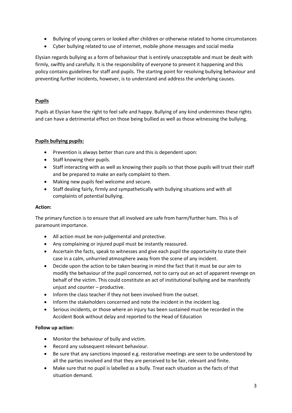- Bullying of young carers or looked after children or otherwise related to home circumstances
- Cyber bullying related to use of internet, mobile phone messages and social media

Elysian regards bullying as a form of behaviour that is entirely unacceptable and must be dealt with firmly, swiftly and carefully. It is the responsibility of everyone to prevent it happening and this policy contains guidelines for staff and pupils. The starting point for resolving bullying behaviour and preventing further incidents, however, is to understand and address the underlying causes.

# **Pupils**

Pupils at Elysian have the right to feel safe and happy. Bullying of any kind undermines these rights and can have a detrimental effect on those being bullied as well as those witnessing the bullying.

# **Pupils bullying pupils:**

- Prevention is always better than cure and this is dependent upon:
- Staff knowing their pupils.
- Staff interacting with as well as knowing their pupils so that those pupils will trust their staff and be prepared to make an early complaint to them.
- Making new pupils feel welcome and secure.
- Staff dealing fairly, firmly and sympathetically with bullying situations and with all complaints of potential bullying.

# **Action:**

The primary function is to ensure that all involved are safe from harm/further ham. This is of paramount importance.

- All action must be non-judgemental and protective.
- Any complaining or injured pupil must be instantly reassured.
- Ascertain the facts, speak to witnesses and give each pupil the opportunity to state their case in a calm, unhurried atmosphere away from the scene of any incident.
- Decide upon the action to be taken bearing in mind the fact that it must be our aim to modify the behaviour of the pupil concerned, not to carry out an act of apparent revenge on behalf of the victim. This could constitute an act of institutional bullying and be manifestly unjust and counter – productive.
- Inform the class teacher if they not been involved from the outset.
- Inform the stakeholders concerned and note the incident in the incident log.
- Serious incidents, or those where an injury has been sustained must be recorded in the Accident Book without delay and reported to the Head of Education

# **Follow up action:**

- Monitor the behaviour of bully and victim.
- Record any subsequent relevant behaviour.
- Be sure that any sanctions imposed e.g. restorative meetings are seen to be understood by all the parties involved and that they are perceived to be fair, relevant and finite.
- Make sure that no pupil is labelled as a bully. Treat each situation as the facts of that situation demand.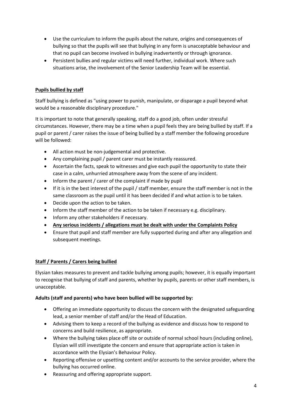- Use the curriculum to inform the pupils about the nature, origins and consequences of bullying so that the pupils will see that bullying in any form is unacceptable behaviour and that no pupil can become involved in bullying inadvertently or through ignorance.
- Persistent bullies and regular victims will need further, individual work. Where such situations arise, the involvement of the Senior Leadership Team will be essential.

# **Pupils bullied by staff**

Staff bullying is defined as "using power to punish, manipulate, or disparage a pupil beyond what would be a reasonable disciplinary procedure."

It is important to note that generally speaking, staff do a good job, often under stressful circumstances. However, there may be a time when a pupil feels they are being bullied by staff. If a pupil or parent / carer raises the issue of being bullied by a staff member the following procedure will be followed:

- All action must be non-judgemental and protective.
- Any complaining pupil / parent carer must be instantly reassured.
- Ascertain the facts, speak to witnesses and give each pupil the opportunity to state their case in a calm, unhurried atmosphere away from the scene of any incident.
- Inform the parent / carer of the complaint if made by pupil
- If it is in the best interest of the pupil / staff member, ensure the staff member is not in the same classroom as the pupil until it has been decided if and what action is to be taken.
- Decide upon the action to be taken.
- Inform the staff member of the action to be taken if necessary e.g. disciplinary.
- Inform any other stakeholders if necessary.
- **Any serious incidents / allegations must be dealt with under the Complaints Policy**
- Ensure that pupil and staff member are fully supported during and after any allegation and subsequent meetings.

# **Staff / Parents / Carers being bullied**

Elysian takes measures to prevent and tackle bullying among pupils; however, it is equally important to recognise that bullying of staff and parents, whether by pupils, parents or other staff members, is unacceptable.

# **Adults (staff and parents) who have been bullied will be supported by:**

- Offering an immediate opportunity to discuss the concern with the designated safeguarding lead, a senior member of staff and/or the Head of Education.
- Advising them to keep a record of the bullying as evidence and discuss how to respond to concerns and build resilience, as appropriate.
- Where the bullying takes place off site or outside of normal school hours (including online), Elysian will still investigate the concern and ensure that appropriate action is taken in accordance with the Elysian's Behaviour Policy.
- Reporting offensive or upsetting content and/or accounts to the service provider, where the bullying has occurred online.
- Reassuring and offering appropriate support.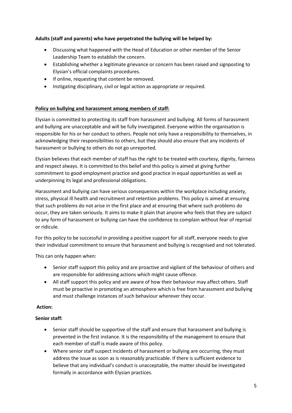# **Adults (staff and parents) who have perpetrated the bullying will be helped by:**

- Discussing what happened with the Head of Education or other member of the Senior Leadership Team to establish the concern.
- Establishing whether a legitimate grievance or concern has been raised and signposting to Elysian's official complaints procedures.
- If online, requesting that content be removed.
- Instigating disciplinary, civil or legal action as appropriate or required.

# **Policy on bullying and harassment among members of staff:**

Elysian is committed to protecting its staff from harassment and bullying. All forms of harassment and bullying are unacceptable and will be fully investigated. Everyone within the organisation is responsible for his or her conduct to others. People not only have a responsibility to themselves, in acknowledging their responsibilities to others, but they should also ensure that any incidents of harassment or bullying to others do not go unreported.

Elysian believes that each member of staff has the right to be treated with courtesy, dignity, fairness and respect always. It is committed to this belief and this policy is aimed at giving further commitment to good employment practice and good practice in equal opportunities as well as underpinning its legal and professional obligations.

Harassment and bullying can have serious consequences within the workplace including anxiety, stress, physical ill health and recruitment and retention problems. This policy is aimed at ensuring that such problems do not arise in the first place and at ensuring that where such problems do occur, they are taken seriously. It aims to make it plain that anyone who feels that they are subject to any form of harassment or bullying can have the confidence to complain without fear of reprisal or ridicule.

For this policy to be successful in providing a positive support for all staff, everyone needs to give their individual commitment to ensure that harassment and bullying is recognised and not tolerated.

This can only happen when:

- Senior staff support this policy and are proactive and vigilant of the behaviour of others and are responsible for addressing actions which might cause offence.
- All staff support this policy and are aware of how their behaviour may affect others. Staff must be proactive in promoting an atmosphere which is free from harassment and bullying and must challenge instances of such behaviour wherever they occur.

# **Action:**

# **Senior staff:**

- Senior staff should be supportive of the staff and ensure that harassment and bullying is prevented in the first instance. It is the responsibility of the management to ensure that each member of staff is made aware of this policy.
- Where senior staff suspect incidents of harassment or bullying are occurring, they must address the issue as soon as is reasonably practicable. If there is sufficient evidence to believe that any individual's conduct is unacceptable, the matter should be investigated formally in accordance with Elysian practices.